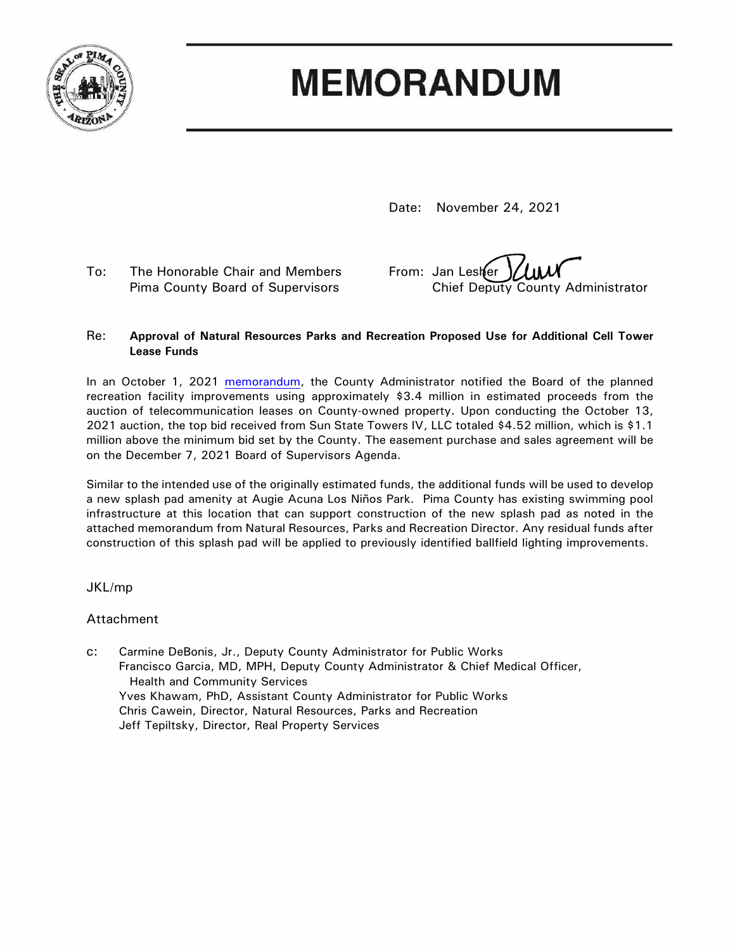

# **MEMORANDUM**

Date: November 24, 2021

To: The Honorable Chair and Members From: Jan Lesher

Pima County Board of Supervisors Chief Deputy County Administrator

#### Re: **Approval of Natural Resources Parks and Recreation Proposed Use for Additional Cell Tower Lease Funds**

In an October 1, 2021 [memorandum,](https://webcms.pima.gov/UserFiles/Servers/Server_6/File/Government/Administration/CHHmemosFor%20Web/2021/October/October%201,%202021%20-%20Use%20of%20Cell%20Tower%2050-Year%20Lease%20Monies%20for%20Park%20Improvements.pdf) the County Administrator notified the Board of the planned recreation facility improvements using approximately \$3.4 million in estimated proceeds from the auction of telecommunication leases on County-owned property. Upon conducting the October 13, 2021 auction, the top bid received from Sun State Towers IV, LLC totaled \$4.52 million, which is \$1.1 million above the minimum bid set by the County. The easement purchase and sales agreement will be on the December 7, 2021 Board of Supervisors Agenda.

Similar to the intended use of the originally estimated funds, the additional funds will be used to develop a new splash pad amenity at Augie Acuna Los Niños Park. Pima County has existing swimming pool infrastructure at this location that can support construction of the new splash pad as noted in the attached memorandum from Natural Resources, Parks and Recreation Director. Any residual funds after construction of this splash pad will be applied to previously identified ballfield lighting improvements.

### JKL/mp

### Attachment

c: Carmine DeBonis, Jr., Deputy County Administrator for Public Works Francisco Garcia, MD, MPH, Deputy County Administrator & Chief Medical Officer, Health and Community Services Yves Khawam, PhD, Assistant County Administrator for Public Works Chris Cawein, Director, Natural Resources, Parks and Recreation Jeff Tepiltsky, Director, Real Property Services